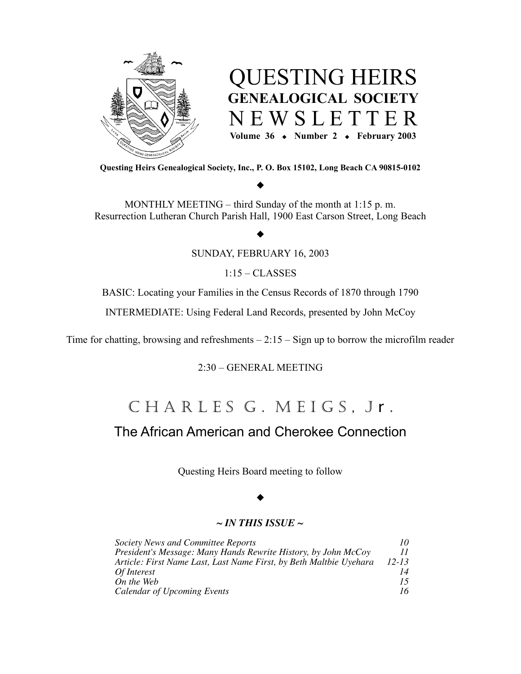



**Questing Heirs Genealogical Society, Inc., P. O. Box 15102, Long Beach CA 90815-0102**

## $\blacklozenge$

MONTHLY MEETING – third Sunday of the month at 1:15 p. m. Resurrection Lutheran Church Parish Hall, 1900 East Carson Street, Long Beach

#### $\blacklozenge$

SUNDAY, FEBRUARY 16, 2003

1:15 – CLASSES

BASIC: Locating your Families in the Census Records of 1870 through 1790

INTERMEDIATE: Using Federal Land Records, presented by John McCoy

Time for chatting, browsing and refreshments  $-2:15 - Sign$  up to borrow the microfilm reader

2:30 – GENERAL MEETING

# CHARLESG. MEIGS, Jr.

## The African American and Cherokee Connection

Questing Heirs Board meeting to follow

## $\blacklozenge$

#### *~ IN THIS ISSUE ~*

| <b>Society News and Committee Reports</b>                          | 10        |
|--------------------------------------------------------------------|-----------|
| President's Message: Many Hands Rewrite History, by John McCoy     | 11        |
| Article: First Name Last, Last Name First, by Beth Maltbie Uyehara | $12 - 13$ |
| Of Interest                                                        | 14        |
| On the Web                                                         | 15        |
| Calendar of Upcoming Events                                        | 16        |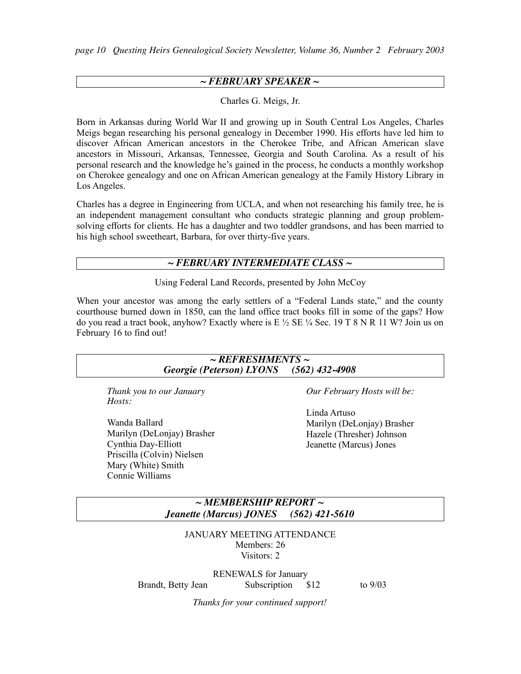*page 10 Questing Heirs Genealogical Society Newsletter, Volume 36, Number 2 February 2003*

## *~ FEBRUARY SPEAKER ~*

Charles G. Meigs, Jr.

Born in Arkansas during World War II and growing up in South Central Los Angeles, Charles Meigs began researching his personal genealogy in December 1990. His efforts have led him to discover African American ancestors in the Cherokee Tribe, and African American slave ancestors in Missouri, Arkansas, Tennessee, Georgia and South Carolina. As a result of his personal research and the knowledge he's gained in the process, he conducts a monthly workshop on Cherokee genealogy and one on African American genealogy at the Family History Library in Los Angeles.

Charles has a degree in Engineering from UCLA, and when not researching his family tree, he is an independent management consultant who conducts strategic planning and group problemsolving efforts for clients. He has a daughter and two toddler grandsons, and has been married to his high school sweetheart, Barbara, for over thirty-five years.

#### *~ FEBRUARY INTERMEDIATE CLASS ~*

Using Federal Land Records, presented by John McCoy

When your ancestor was among the early settlers of a "Federal Lands state," and the county courthouse burned down in 1850, can the land office tract books fill in some of the gaps? How do you read a tract book, anyhow? Exactly where is E  $\frac{1}{2}$  SE  $\frac{1}{4}$  Sec. 19 T 8 N R 11 W? Join us on February 16 to find out!

| $\sim$ REFRESHMENTS $\sim$              |                             |
|-----------------------------------------|-----------------------------|
| Georgie (Peterson) LYONS (562) 432-4908 |                             |
| Thank you to our January<br>Hosts:      | Our February Hosts will be: |
|                                         | Linda Artuso                |
| Wanda Ballard                           | Marilyn (DeLonjay) Brasher  |
| Marilyn (DeLonjay) Brasher              | Hazele (Thresher) Johnson   |
| Cynthia Day-Elliott                     | Jeanette (Marcus) Jones     |
| Priscilla (Colvin) Nielsen              |                             |
| Mary (White) Smith                      |                             |
| Connie Williams                         |                             |

*~ MEMBERSHIP REPORT ~ Jeanette (Marcus) JONES (562) 421-5610*

JANUARY MEETING ATTENDANCE Members: 26 Visitors: 2

RENEWALS for January Brandt, Betty Jean Subscription \$12 to 9/03

*Thanks for your continued support!*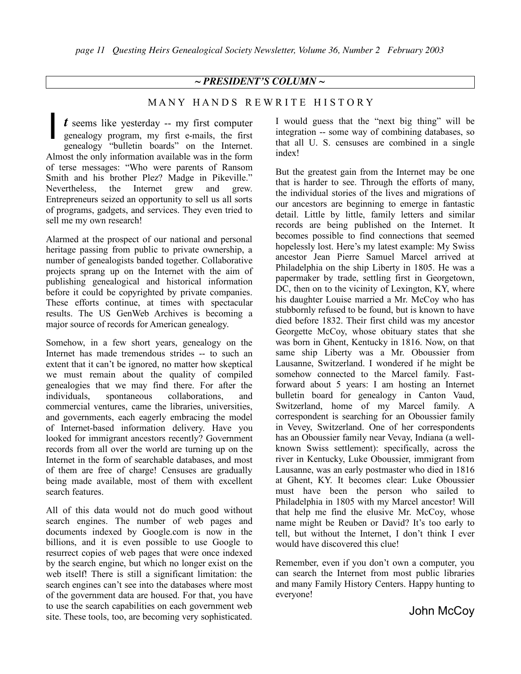#### *~ PRESIDENT'S COLUMN ~*

#### MANY HANDS REWRITE HISTORY

*t* seems like yesterday -- my first computer genealogy program, my first e-mails, the first genealogy "bulletin boards" on the Internet. Almost the only information available was in the form of terse messages: "Who were parents of Ransom Smith and his brother Plez? Madge in Pikeville." Nevertheless, the Internet grew and grew. Entrepreneurs seized an opportunity to sell us all sorts of programs, gadgets, and services. They even tried to sell me my own research! I

Alarmed at the prospect of our national and personal heritage passing from public to private ownership, a number of genealogists banded together. Collaborative projects sprang up on the Internet with the aim of publishing genealogical and historical information before it could be copyrighted by private companies. These efforts continue, at times with spectacular results. The US GenWeb Archives is becoming a major source of records for American genealogy.

Somehow, in a few short years, genealogy on the Internet has made tremendous strides -- to such an extent that it can't be ignored, no matter how skeptical we must remain about the quality of compiled genealogies that we may find there. For after the individuals, spontaneous collaborations, and commercial ventures, came the libraries, universities, and governments, each eagerly embracing the model of Internet-based information delivery. Have you looked for immigrant ancestors recently? Government records from all over the world are turning up on the Internet in the form of searchable databases, and most of them are free of charge! Censuses are gradually being made available, most of them with excellent search features.

All of this data would not do much good without search engines. The number of web pages and documents indexed by Google.com is now in the billions, and it is even possible to use Google to resurrect copies of web pages that were once indexed by the search engine, but which no longer exist on the web itself! There is still a significant limitation: the search engines can't see into the databases where most of the government data are housed. For that, you have to use the search capabilities on each government web site. These tools, too, are becoming very sophisticated.

I would guess that the "next big thing" will be integration -- some way of combining databases, so that all U. S. censuses are combined in a single index!

But the greatest gain from the Internet may be one that is harder to see. Through the efforts of many, the individual stories of the lives and migrations of our ancestors are beginning to emerge in fantastic detail. Little by little, family letters and similar records are being published on the Internet. It becomes possible to find connections that seemed hopelessly lost. Here's my latest example: My Swiss ancestor Jean Pierre Samuel Marcel arrived at Philadelphia on the ship Liberty in 1805. He was a papermaker by trade, settling first in Georgetown, DC, then on to the vicinity of Lexington, KY, where his daughter Louise married a Mr. McCoy who has stubbornly refused to be found, but is known to have died before 1832. Their first child was my ancestor Georgette McCoy, whose obituary states that she was born in Ghent, Kentucky in 1816. Now, on that same ship Liberty was a Mr. Oboussier from Lausanne, Switzerland. I wondered if he might be somehow connected to the Marcel family. Fastforward about 5 years: I am hosting an Internet bulletin board for genealogy in Canton Vaud, Switzerland, home of my Marcel family. A correspondent is searching for an Oboussier family in Vevey, Switzerland. One of her correspondents has an Oboussier family near Vevay, Indiana (a wellknown Swiss settlement): specifically, across the river in Kentucky, Luke Oboussier, immigrant from Lausanne, was an early postmaster who died in 1816 at Ghent, KY. It becomes clear: Luke Oboussier must have been the person who sailed to Philadelphia in 1805 with my Marcel ancestor! Will that help me find the elusive Mr. McCoy, whose name might be Reuben or David? It's too early to tell, but without the Internet, I don't think I ever would have discovered this clue!

Remember, even if you don't own a computer, you can search the Internet from most public libraries and many Family History Centers. Happy hunting to everyone!

John McCoy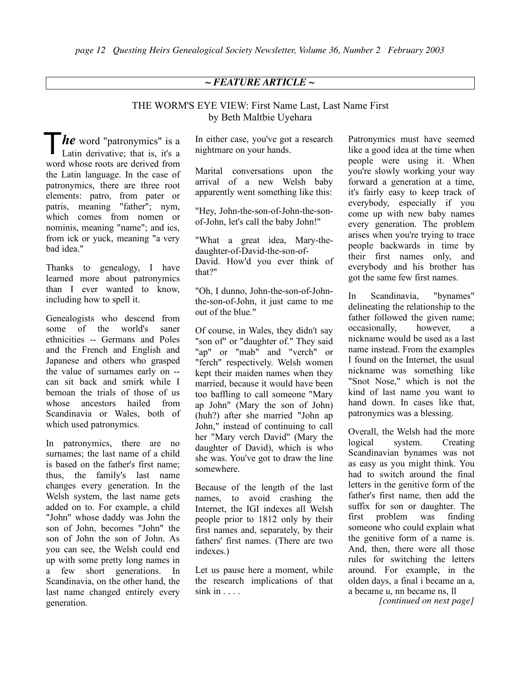## *~ FEATURE ARTICLE ~*

## THE WORM'S EYE VIEW: First Name Last, Last Name First by Beth Maltbie Uyehara

**he** word "patronymics" is a<br>Latin derivative; that is, it's a Latin derivative; that is, it's a word whose roots are derived from the Latin language. In the case of patronymics, there are three root elements: patro, from pater or patris, meaning "father"; nym, which comes from nomen or nominis, meaning "name"; and ics, from ick or yuck, meaning "a very bad idea."

Thanks to genealogy, I have learned more about patronymics than I ever wanted to know, including how to spell it.

Genealogists who descend from some of the world's saner ethnicities -- Germans and Poles and the French and English and Japanese and others who grasped the value of surnames early on - can sit back and smirk while I bemoan the trials of those of us whose ancestors hailed from Scandinavia or Wales, both of which used patronymics.

In patronymics, there are no surnames; the last name of a child is based on the father's first name; thus, the family's last name changes every generation. In the Welsh system, the last name gets added on to. For example, a child "John" whose daddy was John the son of John, becomes "John" the son of John the son of John. As you can see, the Welsh could end up with some pretty long names in a few short generations. In Scandinavia, on the other hand, the last name changed entirely every generation.

In either case, you've got a research nightmare on your hands.

Marital conversations upon the arrival of a new Welsh baby apparently went something like this:

"Hey, John-the-son-of-John-the-sonof-John, let's call the baby John!"

"What a great idea, Mary-thedaughter-of-David-the-son-of-David. How'd you ever think of that?"

"Oh, I dunno, John-the-son-of-Johnthe-son-of-John, it just came to me out of the blue."

Of course, in Wales, they didn't say "son of" or "daughter of." They said "ap" or "mab" and "verch" or "ferch" respectively. Welsh women kept their maiden names when they married, because it would have been too baffling to call someone "Mary ap John" (Mary the son of John) (huh?) after she married "John ap John," instead of continuing to call her "Mary verch David" (Mary the daughter of David), which is who she was. You've got to draw the line somewhere.

Because of the length of the last names, to avoid crashing the Internet, the IGI indexes all Welsh people prior to 1812 only by their first names and, separately, by their fathers' first names. (There are two indexes.)

Let us pause here a moment, while the research implications of that  $sink$  in  $\ldots$ .

Patronymics must have seemed like a good idea at the time when people were using it. When you're slowly working your way forward a generation at a time, it's fairly easy to keep track of everybody, especially if you come up with new baby names every generation. The problem arises when you're trying to trace people backwards in time by their first names only, and everybody and his brother has got the same few first names.

In Scandinavia, "bynames" delineating the relationship to the father followed the given name; occasionally, however, a nickname would be used as a last name instead. From the examples I found on the Internet, the usual nickname was something like "Snot Nose," which is not the kind of last name you want to hand down. In cases like that, patronymics was a blessing.

Overall, the Welsh had the more logical system. Creating Scandinavian bynames was not as easy as you might think. You had to switch around the final letters in the genitive form of the father's first name, then add the suffix for son or daughter. The first problem was finding someone who could explain what the genitive form of a name is. And, then, there were all those rules for switching the letters around. For example, in the olden days, a final i became an a, a became u, nn became ns, ll

*[continued on next page]*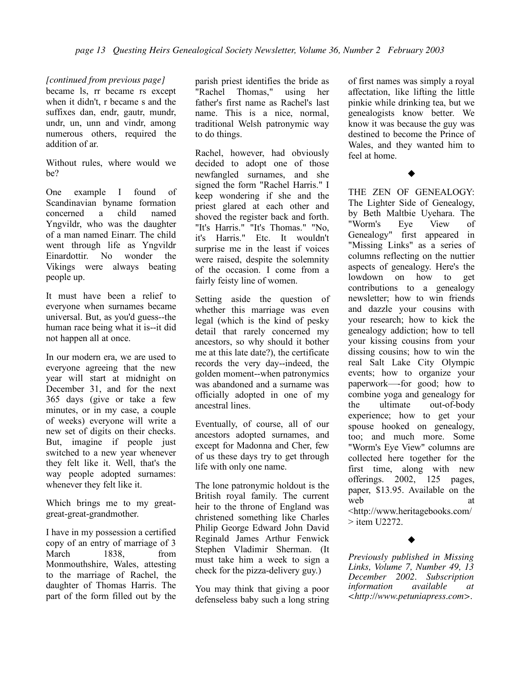#### *[continued from previous page]*

became ls, rr became rs except when it didn't, r became s and the suffixes dan, endr, gautr, mundr, undr, un, unn and vindr, among numerous others, required the addition of ar.

Without rules, where would we be?

One example I found of Scandinavian byname formation concerned a child named Yngvildr, who was the daughter of a man named Einarr. The child went through life as Yngvildr Einardottir. No wonder the Vikings were always beating people up.

It must have been a relief to everyone when surnames became universal. But, as you'd guess--the human race being what it is--it did not happen all at once.

In our modern era, we are used to everyone agreeing that the new year will start at midnight on December 31, and for the next 365 days (give or take a few minutes, or in my case, a couple of weeks) everyone will write a new set of digits on their checks. But, imagine if people just switched to a new year whenever they felt like it. Well, that's the way people adopted surnames: whenever they felt like it.

Which brings me to my greatgreat-great-grandmother.

I have in my possession a certified copy of an entry of marriage of 3 March 1838, from Monmouthshire, Wales, attesting to the marriage of Rachel, the daughter of Thomas Harris. The part of the form filled out by the parish priest identifies the bride as "Rachel Thomas," using her father's first name as Rachel's last name. This is a nice, normal, traditional Welsh patronymic way to do things.

Rachel, however, had obviously decided to adopt one of those newfangled surnames, and she signed the form "Rachel Harris." I keep wondering if she and the priest glared at each other and shoved the register back and forth. "It's Harris." "It's Thomas." "No, it's Harris." Etc. It wouldn't surprise me in the least if voices were raised, despite the solemnity of the occasion. I come from a fairly feisty line of women.

Setting aside the question of whether this marriage was even legal (which is the kind of pesky detail that rarely concerned my ancestors, so why should it bother me at this late date?), the certificate records the very day--indeed, the golden moment--when patronymics was abandoned and a surname was officially adopted in one of my ancestral lines.

Eventually, of course, all of our ancestors adopted surnames, and except for Madonna and Cher, few of us these days try to get through life with only one name.

The lone patronymic holdout is the British royal family. The current heir to the throne of England was christened something like Charles Philip George Edward John David Reginald James Arthur Fenwick Stephen Vladimir Sherman. (It must take him a week to sign a check for the pizza-delivery guy.)

You may think that giving a poor defenseless baby such a long string of first names was simply a royal affectation, like lifting the little pinkie while drinking tea, but we genealogists know better. We know it was because the guy was destined to become the Prince of Wales, and they wanted him to feel at home.

 $\blacklozenge$ 

THE ZEN OF GENEALOGY: The Lighter Side of Genealogy, by Beth Maltbie Uyehara. The "Worm's Eye View of Genealogy" first appeared in "Missing Links" as a series of columns reflecting on the nuttier aspects of genealogy. Here's the lowdown on how to get contributions to a genealogy newsletter; how to win friends and dazzle your cousins with your research; how to kick the genealogy addiction; how to tell your kissing cousins from your dissing cousins; how to win the real Salt Lake City Olympic events; how to organize your paperwork—-for good; how to combine yoga and genealogy for the ultimate out-of-body experience; how to get your spouse hooked on genealogy, too; and much more. Some "Worm's Eye View" columns are collected here together for the first time, along with new offerings. 2002, 125 pages, paper, \$13.95. Available on the web at <http://www.heritagebooks.com/  $>$  item  $112272$ .

## $\blacklozenge$

*Previously published in Missing Links, Volume 7, Number 49, 13 December 2002. Subscription information available at <http://www.petuniapress.com>.*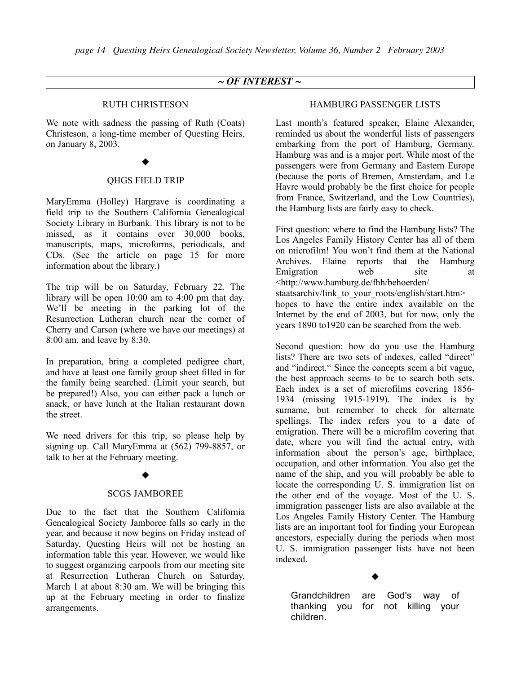## *~ OF INTEREST ~*

#### RUTH CHRISTESON

We note with sadness the passing of Ruth (Coats) Christeson, a long-time member of Questing Heirs, on January 8, 2003.

#### $\blacklozenge$

#### QHGS FIELD TRIP

MaryEmma (Holley) Hargrave is coordinating a field trip to the Southern California Genealogical Society Library in Burbank. This library is not to be missed, as it contains over 30,000 books, manuscripts, maps, microforms, periodicals, and CDs. (See the article on page 15 for more information about the library.)

The trip will be on Saturday, February 22. The library will be open 10:00 am to 4:00 pm that day. We'll be meeting in the parking lot of the Resurrection Lutheran church near the corner of Cherry and Carson (where we have our meetings) at 8:00 am, and leave by 8:30.

In preparation, bring a completed pedigree chart, and have at least one family group sheet filled in for the family being searched. (Limit your search, but be prepared!) Also, you can either pack a lunch or snack, or have lunch at the Italian restaurant down the street.

We need drivers for this trip, so please help by signing up. Call MaryEmma at (562) 799-8857, or talk to her at the February meeting.

#### $\blacklozenge$

#### SCGS JAMBOREE

Due to the fact that the Southern California Genealogical Society Jamboree falls so early in the year, and because it now begins on Friday instead of Saturday, Questing Heirs will not be hosting an information table this year. However, we would like to suggest organizing carpools from our meeting site at Resurrection Lutheran Church on Saturday, March 1 at about 8:30 am. We will be bringing this up at the February meeting in order to finalize arrangements.

#### HAMBURG PASSENGER LISTS

Last month's featured speaker, Elaine Alexander, reminded us about the wonderful lists of passengers embarking from the port of Hamburg, Germany. Hamburg was and is a major port. While most of the passengers were from Germany and Eastern Europe (because the ports of Bremen, Amsterdam, and Le Havre would probably be the first choice for people from France, Switzerland, and the Low Countries), the Hamburg lists are fairly easy to check.

First question: where to find the Hamburg lists? The Los Angeles Family History Center has all of them on microfilm! You won't find them at the National Archives. Elaine reports that the Hamburg Emigration web site at <http://www.hamburg.de/fhh/behoerden/ staatsarchiv/link to your roots/english/start.htm> hopes to have the entire index available on the Internet by the end of 2003, but for now, only the years 1890 to1920 can be searched from the web.

Second question: how do you use the Hamburg lists? There are two sets of indexes, called "direct" and "indirect." Since the concepts seem a bit vague, the best approach seems to be to search both sets. Each index is a set of microfilms covering 1856- 1934 (missing 1915-1919). The index is by surname, but remember to check for alternate spellings. The index refers you to a date of emigration. There will be a microfilm covering that date, where you will find the actual entry, with information about the person's age, birthplace, occupation, and other information. You also get the name of the ship, and you will probably be able to locate the corresponding U. S. immigration list on the other end of the voyage. Most of the U. S. immigration passenger lists are also available at the Los Angeles Family History Center. The Hamburg lists are an important tool for finding your European ancestors, especially during the periods when most U. S. immigration passenger lists have not been indexed.

Grandchildren are God's way of thanking you for not killing your children.

 $\blacklozenge$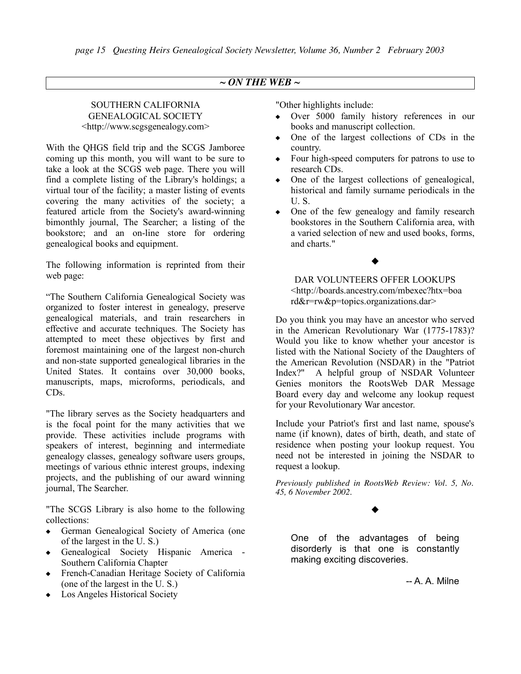## *~ ON THE WEB ~*

## SOUTHERN CALIFORNIA GENEALOGICAL SOCIETY <http://www.scgsgenealogy.com>

With the QHGS field trip and the SCGS Jamboree coming up this month, you will want to be sure to take a look at the SCGS web page. There you will find a complete listing of the Library's holdings; a virtual tour of the facility; a master listing of events covering the many activities of the society; a featured article from the Society's award-winning bimonthly journal, The Searcher; a listing of the bookstore; and an on-line store for ordering genealogical books and equipment.

The following information is reprinted from their web page:

"The Southern California Genealogical Society was organized to foster interest in genealogy, preserve genealogical materials, and train researchers in effective and accurate techniques. The Society has attempted to meet these objectives by first and foremost maintaining one of the largest non-church and non-state supported genealogical libraries in the United States. It contains over 30,000 books, manuscripts, maps, microforms, periodicals, and CDs.

"The library serves as the Society headquarters and is the focal point for the many activities that we provide. These activities include programs with speakers of interest, beginning and intermediate genealogy classes, genealogy software users groups, meetings of various ethnic interest groups, indexing projects, and the publishing of our award winning journal, The Searcher.

"The SCGS Library is also home to the following collections:

- ! German Genealogical Society of America (one of the largest in the U. S.)
- ! Genealogical Society Hispanic America Southern California Chapter
- ! French-Canadian Heritage Society of California (one of the largest in the U. S.)
- $\leftarrow$  Los Angeles Historical Society

"Other highlights include:

- ! Over 5000 family history references in our books and manuscript collection.
- One of the largest collections of CDs in the country.
- Four high-speed computers for patrons to use to research CDs.
- One of the largest collections of genealogical, historical and family surname periodicals in the U. S.
- One of the few genealogy and family research bookstores in the Southern California area, with a varied selection of new and used books, forms, and charts."

## $\blacklozenge$

DAR VOLUNTEERS OFFER LOOKUPS <http://boards.ancestry.com/mbexec?htx=boa rd&r=rw&p=topics.organizations.dar>

Do you think you may have an ancestor who served in the American Revolutionary War (1775-1783)? Would you like to know whether your ancestor is listed with the National Society of the Daughters of the American Revolution (NSDAR) in the "Patriot Index?" A helpful group of NSDAR Volunteer Genies monitors the RootsWeb DAR Message Board every day and welcome any lookup request for your Revolutionary War ancestor.

Include your Patriot's first and last name, spouse's name (if known), dates of birth, death, and state of residence when posting your lookup request. You need not be interested in joining the NSDAR to request a lookup.

*Previously published in RootsWeb Review: Vol. 5, No. 45, 6 November 2002.*

## $\blacklozenge$

One of the advantages of being disorderly is that one is constantly making exciting discoveries.

-- A. A. Milne